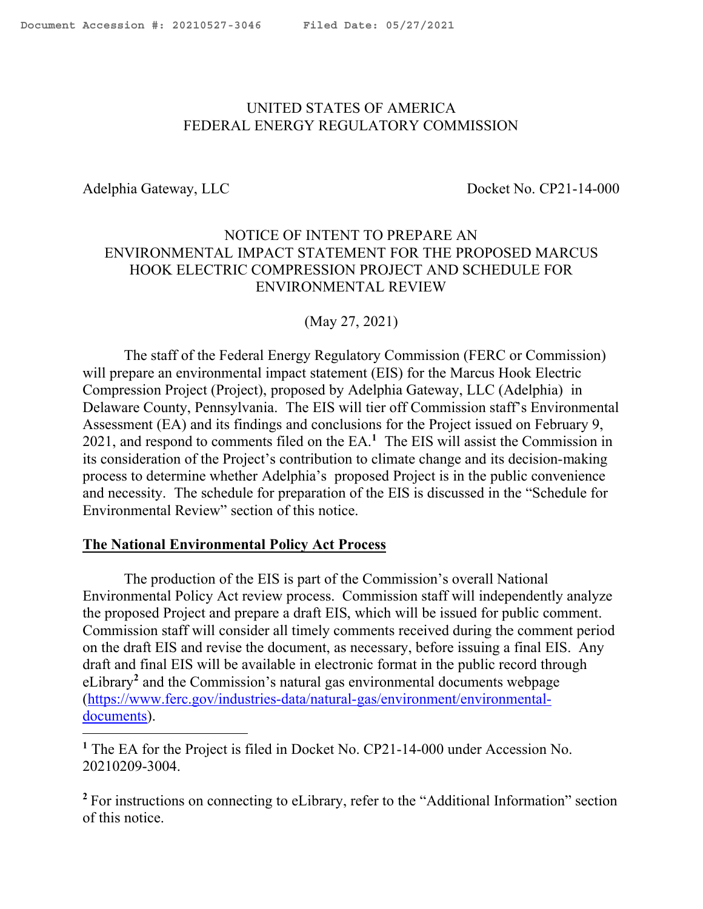### <span id="page-0-0"></span>UNITED STATES OF AMERICA FEDERAL ENERGY REGULATORY COMMISSION

i<br>Li

Adelphia Gateway, LLC Docket No. CP21-14-000

#### NOTICE OF INTENT TO PREPARE AN ENVIRONMENTAL IMPACT STATEMENT FOR THE PROPOSED MARCUS HOOK ELECTRIC COMPRESSION PROJECT AND SCHEDULE FOR ENVIRONMENTAL REVIEW

(May 27, 2021)

The staff of the Federal Energy Regulatory Commission (FERC or Commission) will prepare an environmental impact statement (EIS) for the Marcus Hook Electric Compression Project (Project), proposed by Adelphia Gateway, LLC (Adelphia) in Delaware County, Pennsylvania. The EIS will tier off Commission staff's Environmental Assessment (EA) and its findings and conclusions for the Project issued on February 9, 2021, and respond to comments filed on the EA. **<sup>1</sup>** The EIS will assist the Commission in its consideration of the Project's contribution to climate change and its decision-making process to determine whether Adelphia's proposed Project is in the public convenience and necessity. The schedule for preparation of the EIS is discussed in the "Schedule for Environmental Review" section of this notice.

#### **The National Environmental Policy Act Process**

The production of the EIS is part of the Commission's overall National Environmental Policy Act review process. Commission staff will independently analyze the proposed Project and prepare a draft EIS, which will be issued for public comment. Commission staff will consider all timely comments received during the comment period on the draft EIS and revise the document, as necessary, before issuing a final EIS. Any draft and final EIS will be available in electronic format in the public record through eLibrary**<sup>2</sup>** and the Commission's natural gas environmental documents webpage (https://www.ferc.gov/industries-data/natural-gas/environment/environmentaldocuments).

**<sup>1</sup>** The EA for the Project is filed in Docket No. CP21-14-000 under Accession No. 20210209-3004.

<sup>2</sup> For instructions on connecting to eLibrary, refer to the "Additional Information" section of this notice.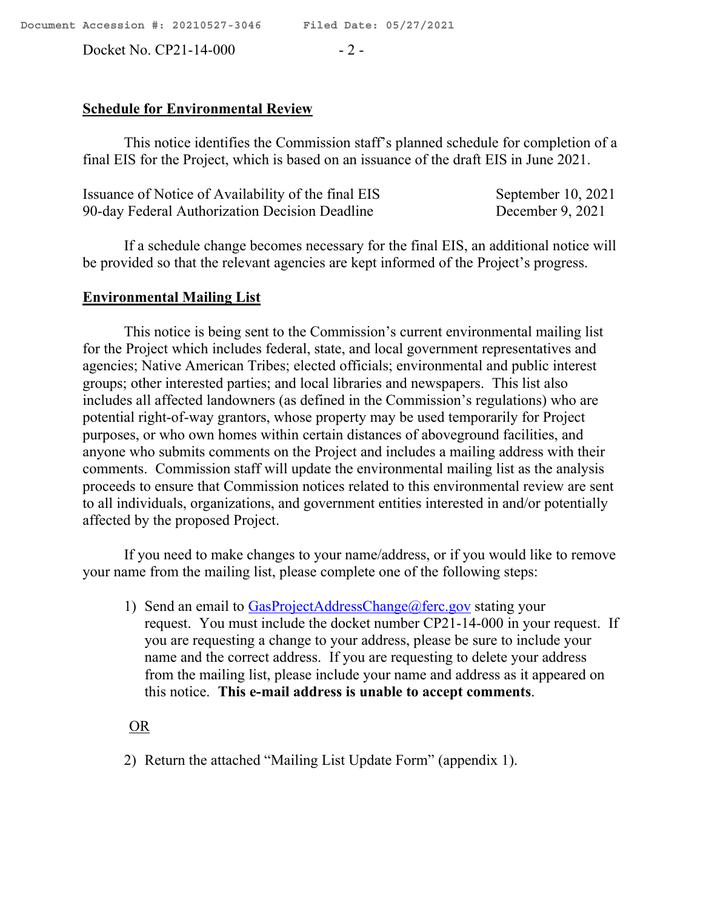Docket No. CP21-14-000 - 2 -

# **Schedule for Environmental Review**

This notice identifies the Commission staff's planned schedule for completion of a final EIS for the Project, which is based on an issuance of the draft EIS in June 2021.

| Issuance of Notice of Availability of the final EIS | September $10, 2021$ |
|-----------------------------------------------------|----------------------|
| 90-day Federal Authorization Decision Deadline      | December 9, 2021     |

If a schedule change becomes necessary for the final EIS, an additional notice will be provided so that the relevant agencies are kept informed of the Project's progress.

# **Environmental Mailing List**

This notice is being sent to the Commission's current environmental mailing list for the Project which includes federal, state, and local government representatives and agencies; Native American Tribes; elected officials; environmental and public interest groups; other interested parties; and local libraries and newspapers. This list also includes all affected landowners (as defined in the Commission's regulations) who are potential right-of-way grantors, whose property may be used temporarily for Project purposes, or who own homes within certain distances of aboveground facilities, and anyone who submits comments on the Project and includes a mailing address with their comments. Commission staff will update the environmental mailing list as the analysis proceeds to ensure that Commission notices related to this environmental review are sent to all individuals, organizations, and government entities interested in and/or potentially affected by the proposed Project.

If you need to make changes to your name/address, or if you would like to remove your name from the mailing list, please complete one of the following steps:

1) Send an email to GasProjectAddressChange@ferc.gov stating your request. You must include the docket number CP21-14-000 in your request. If you are requesting a change to your address, please be sure to include your name and the correct address. If you are requesting to delete your address from the mailing list, please include your name and address as it appeared on this notice. **This e-mail address is unable to accept comments**.

OR

2) Return the attached "Mailing List Update Form" (appendix 1).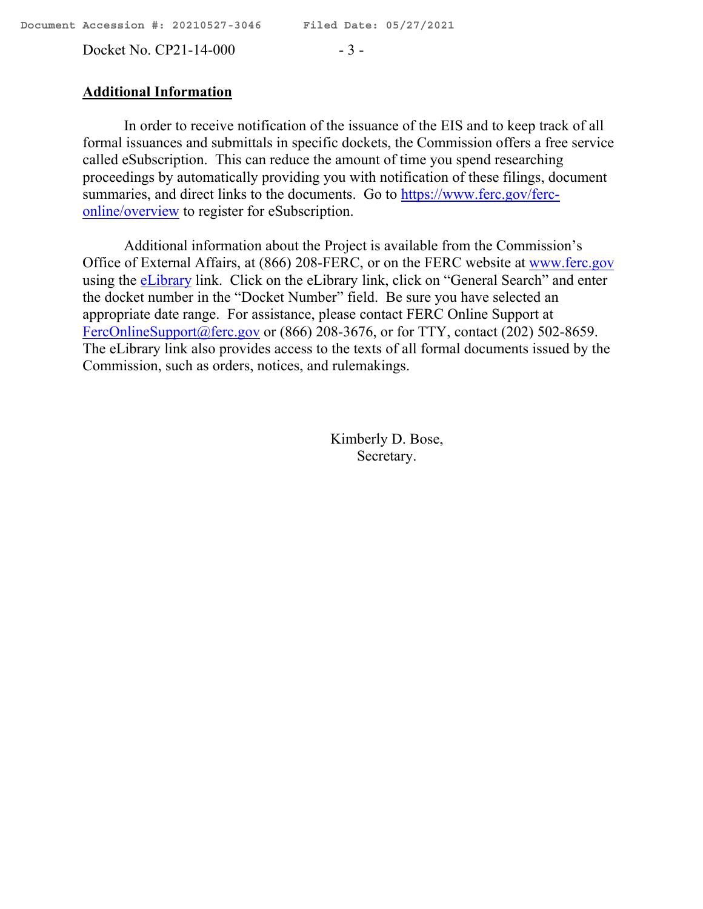Docket No. CP21-14-000 - 3 -

#### **Additional Information**

In order to receive notification of the issuance of the EIS and to keep track of all formal issuances and submittals in specific dockets, the Commission offers a free service called eSubscription. This can reduce the amount of time you spend researching proceedings by automatically providing you with notification of these filings, document summaries, and direct links to the documents. Go to https://www.ferc.gov/ferconline/overview to register for eSubscription.

Additional information about the Project is available from the Commission's Office of External Affairs, at (866) 208-FERC, or on the FERC website at www.ferc.gov using the eLibrary link. Click on the eLibrary link, click on "General Search" and enter the docket number in the "Docket Number" field. Be sure you have selected an appropriate date range. For assistance, please contact FERC Online Support at FercOnlineSupport@ferc.gov or (866) 208-3676, or for TTY, contact (202) 502-8659. The eLibrary link also provides access to the texts of all formal documents issued by the Commission, such as orders, notices, and rulemakings.

> Kimberly D. Bose, Secretary.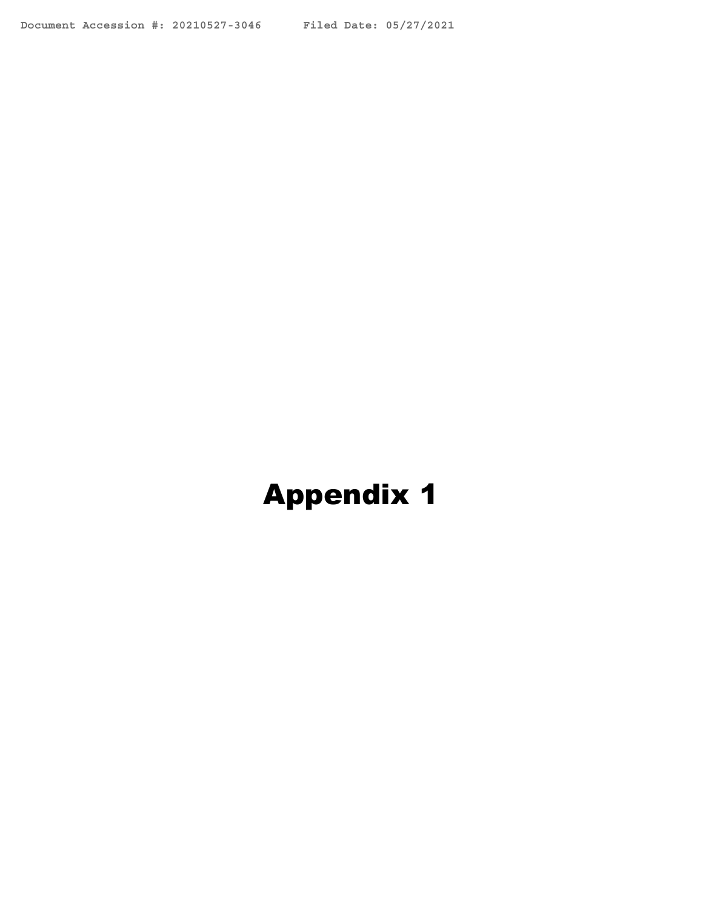# **Appendix 1**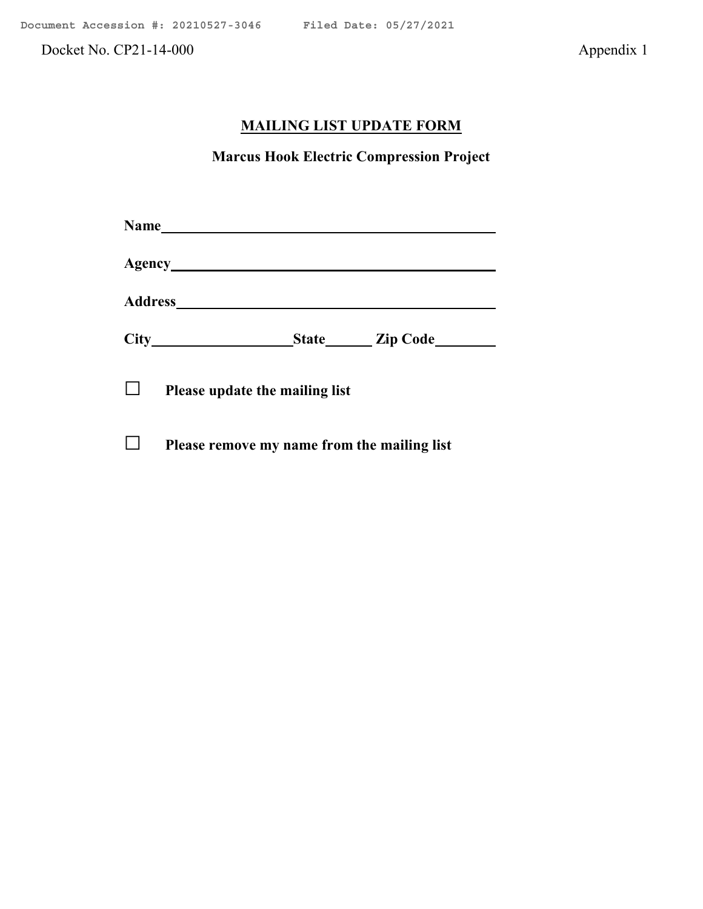Docket No. CP21-14-000 Appendix 1

# **MAILING LIST UPDATE FORM**

**Marcus Hook Electric Compression Project**

|  |                                             |  | State <u>Zip Code</u> |  |
|--|---------------------------------------------|--|-----------------------|--|
|  | Please update the mailing list              |  |                       |  |
|  | Please remove my name from the mailing list |  |                       |  |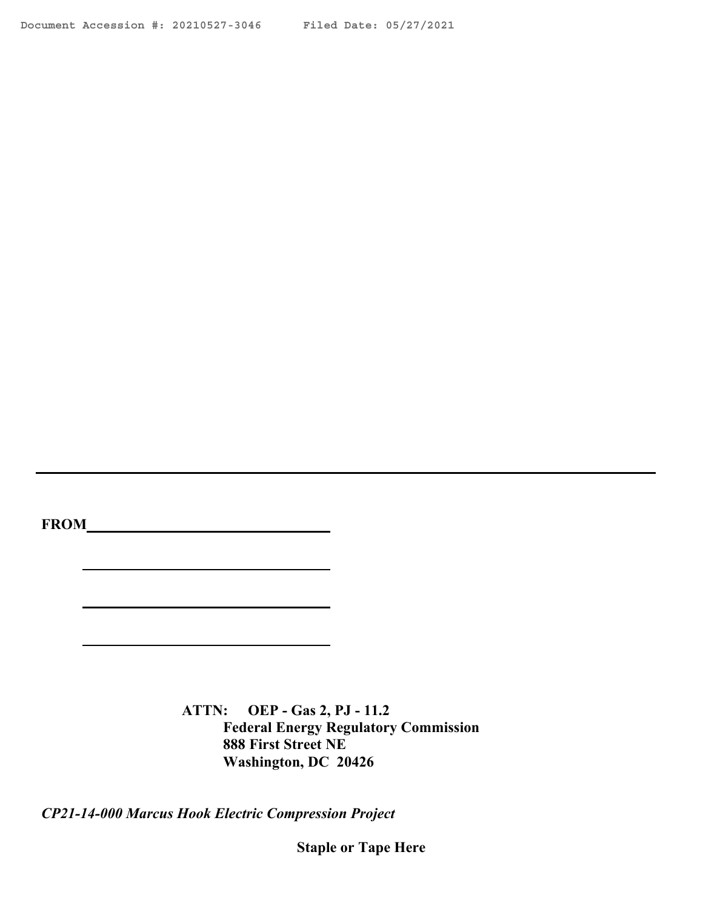**FROM**

**ATTN: OEP - Gas 2, PJ - 11.2 Federal Energy Regulatory Commission 888 First Street NE Washington, DC 20426**

*CP21-14-000 Marcus Hook Electric Compression Project*

**Staple or Tape Here**